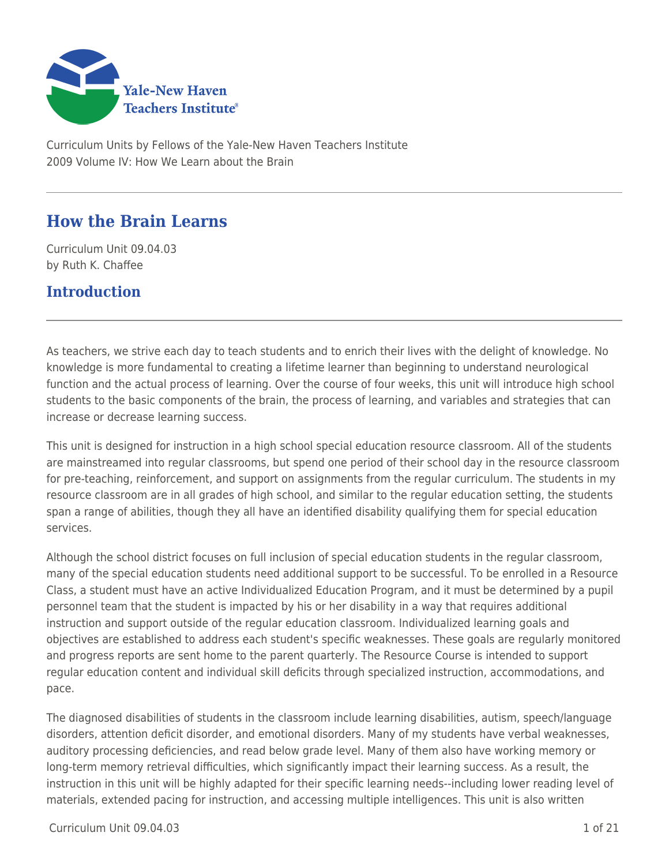

Curriculum Units by Fellows of the Yale-New Haven Teachers Institute 2009 Volume IV: How We Learn about the Brain

# **How the Brain Learns**

Curriculum Unit 09.04.03 by Ruth K. Chaffee

# **Introduction**

As teachers, we strive each day to teach students and to enrich their lives with the delight of knowledge. No knowledge is more fundamental to creating a lifetime learner than beginning to understand neurological function and the actual process of learning. Over the course of four weeks, this unit will introduce high school students to the basic components of the brain, the process of learning, and variables and strategies that can increase or decrease learning success.

This unit is designed for instruction in a high school special education resource classroom. All of the students are mainstreamed into regular classrooms, but spend one period of their school day in the resource classroom for pre-teaching, reinforcement, and support on assignments from the regular curriculum. The students in my resource classroom are in all grades of high school, and similar to the regular education setting, the students span a range of abilities, though they all have an identified disability qualifying them for special education services.

Although the school district focuses on full inclusion of special education students in the regular classroom, many of the special education students need additional support to be successful. To be enrolled in a Resource Class, a student must have an active Individualized Education Program, and it must be determined by a pupil personnel team that the student is impacted by his or her disability in a way that requires additional instruction and support outside of the regular education classroom. Individualized learning goals and objectives are established to address each student's specific weaknesses. These goals are regularly monitored and progress reports are sent home to the parent quarterly. The Resource Course is intended to support regular education content and individual skill deficits through specialized instruction, accommodations, and pace.

The diagnosed disabilities of students in the classroom include learning disabilities, autism, speech/language disorders, attention deficit disorder, and emotional disorders. Many of my students have verbal weaknesses, auditory processing deficiencies, and read below grade level. Many of them also have working memory or long-term memory retrieval difficulties, which significantly impact their learning success. As a result, the instruction in this unit will be highly adapted for their specific learning needs--including lower reading level of materials, extended pacing for instruction, and accessing multiple intelligences. This unit is also written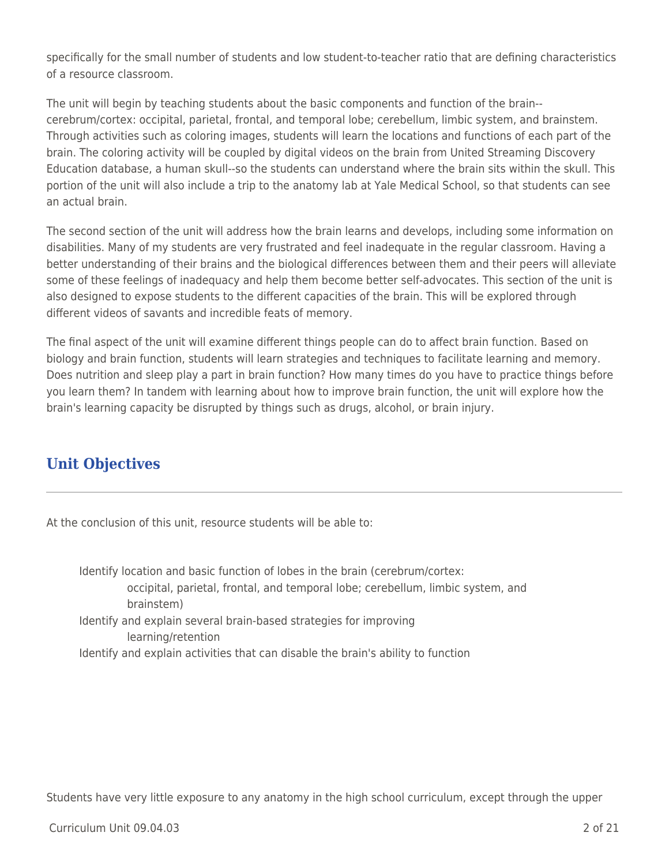specifically for the small number of students and low student-to-teacher ratio that are defining characteristics of a resource classroom.

The unit will begin by teaching students about the basic components and function of the brain- cerebrum/cortex: occipital, parietal, frontal, and temporal lobe; cerebellum, limbic system, and brainstem. Through activities such as coloring images, students will learn the locations and functions of each part of the brain. The coloring activity will be coupled by digital videos on the brain from United Streaming Discovery Education database, a human skull--so the students can understand where the brain sits within the skull. This portion of the unit will also include a trip to the anatomy lab at Yale Medical School, so that students can see an actual brain.

The second section of the unit will address how the brain learns and develops, including some information on disabilities. Many of my students are very frustrated and feel inadequate in the regular classroom. Having a better understanding of their brains and the biological differences between them and their peers will alleviate some of these feelings of inadequacy and help them become better self-advocates. This section of the unit is also designed to expose students to the different capacities of the brain. This will be explored through different videos of savants and incredible feats of memory.

The final aspect of the unit will examine different things people can do to affect brain function. Based on biology and brain function, students will learn strategies and techniques to facilitate learning and memory. Does nutrition and sleep play a part in brain function? How many times do you have to practice things before you learn them? In tandem with learning about how to improve brain function, the unit will explore how the brain's learning capacity be disrupted by things such as drugs, alcohol, or brain injury.

# **Unit Objectives**

At the conclusion of this unit, resource students will be able to:

Identify location and basic function of lobes in the brain (cerebrum/cortex: occipital, parietal, frontal, and temporal lobe; cerebellum, limbic system, and brainstem) Identify and explain several brain-based strategies for improving learning/retention Identify and explain activities that can disable the brain's ability to function

Students have very little exposure to any anatomy in the high school curriculum, except through the upper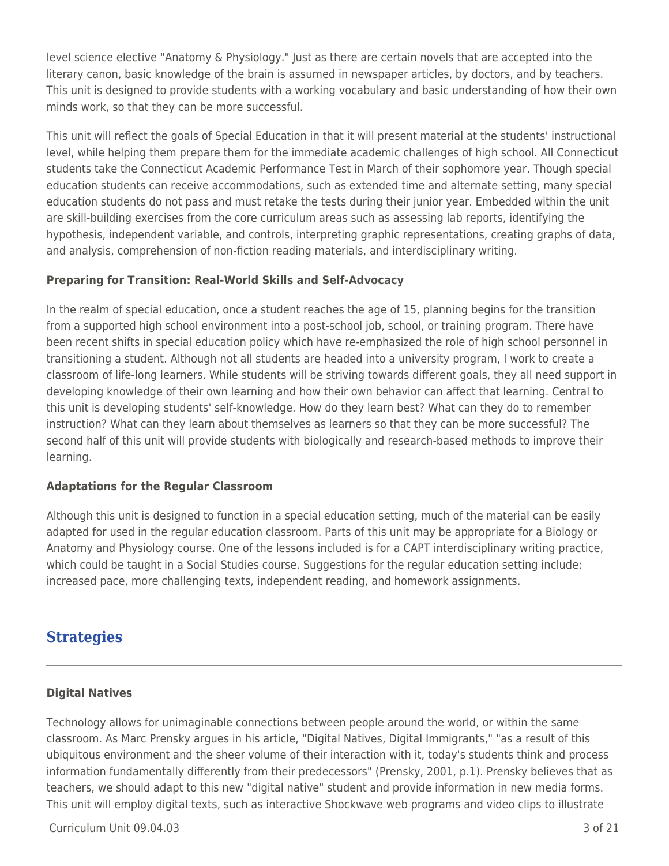level science elective "Anatomy & Physiology." Just as there are certain novels that are accepted into the literary canon, basic knowledge of the brain is assumed in newspaper articles, by doctors, and by teachers. This unit is designed to provide students with a working vocabulary and basic understanding of how their own minds work, so that they can be more successful.

This unit will reflect the goals of Special Education in that it will present material at the students' instructional level, while helping them prepare them for the immediate academic challenges of high school. All Connecticut students take the Connecticut Academic Performance Test in March of their sophomore year. Though special education students can receive accommodations, such as extended time and alternate setting, many special education students do not pass and must retake the tests during their junior year. Embedded within the unit are skill-building exercises from the core curriculum areas such as assessing lab reports, identifying the hypothesis, independent variable, and controls, interpreting graphic representations, creating graphs of data, and analysis, comprehension of non-fiction reading materials, and interdisciplinary writing.

## **Preparing for Transition: Real-World Skills and Self-Advocacy**

In the realm of special education, once a student reaches the age of 15, planning begins for the transition from a supported high school environment into a post-school job, school, or training program. There have been recent shifts in special education policy which have re-emphasized the role of high school personnel in transitioning a student. Although not all students are headed into a university program, I work to create a classroom of life-long learners. While students will be striving towards different goals, they all need support in developing knowledge of their own learning and how their own behavior can affect that learning. Central to this unit is developing students' self-knowledge. How do they learn best? What can they do to remember instruction? What can they learn about themselves as learners so that they can be more successful? The second half of this unit will provide students with biologically and research-based methods to improve their learning.

#### **Adaptations for the Regular Classroom**

Although this unit is designed to function in a special education setting, much of the material can be easily adapted for used in the regular education classroom. Parts of this unit may be appropriate for a Biology or Anatomy and Physiology course. One of the lessons included is for a CAPT interdisciplinary writing practice, which could be taught in a Social Studies course. Suggestions for the regular education setting include: increased pace, more challenging texts, independent reading, and homework assignments.

# **Strategies**

## **Digital Natives**

Technology allows for unimaginable connections between people around the world, or within the same classroom. As Marc Prensky argues in his article, "Digital Natives, Digital Immigrants," "as a result of this ubiquitous environment and the sheer volume of their interaction with it, today's students think and process information fundamentally differently from their predecessors" (Prensky, 2001, p.1). Prensky believes that as teachers, we should adapt to this new "digital native" student and provide information in new media forms. This unit will employ digital texts, such as interactive Shockwave web programs and video clips to illustrate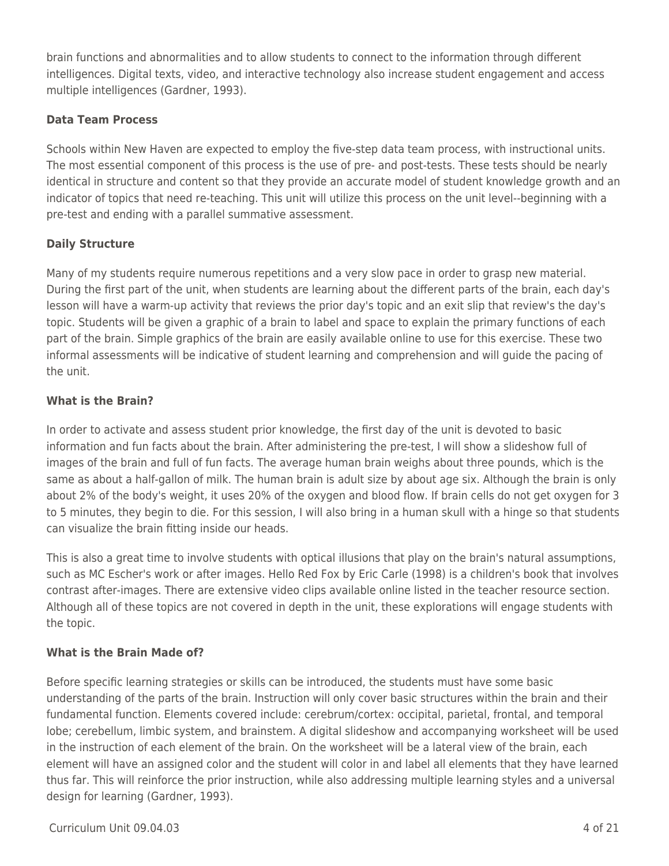brain functions and abnormalities and to allow students to connect to the information through different intelligences. Digital texts, video, and interactive technology also increase student engagement and access multiple intelligences (Gardner, 1993).

## **Data Team Process**

Schools within New Haven are expected to employ the five-step data team process, with instructional units. The most essential component of this process is the use of pre- and post-tests. These tests should be nearly identical in structure and content so that they provide an accurate model of student knowledge growth and an indicator of topics that need re-teaching. This unit will utilize this process on the unit level--beginning with a pre-test and ending with a parallel summative assessment.

## **Daily Structure**

Many of my students require numerous repetitions and a very slow pace in order to grasp new material. During the first part of the unit, when students are learning about the different parts of the brain, each day's lesson will have a warm-up activity that reviews the prior day's topic and an exit slip that review's the day's topic. Students will be given a graphic of a brain to label and space to explain the primary functions of each part of the brain. Simple graphics of the brain are easily available online to use for this exercise. These two informal assessments will be indicative of student learning and comprehension and will guide the pacing of the unit.

## **What is the Brain?**

In order to activate and assess student prior knowledge, the first day of the unit is devoted to basic information and fun facts about the brain. After administering the pre-test, I will show a slideshow full of images of the brain and full of fun facts. The average human brain weighs about three pounds, which is the same as about a half-gallon of milk. The human brain is adult size by about age six. Although the brain is only about 2% of the body's weight, it uses 20% of the oxygen and blood flow. If brain cells do not get oxygen for 3 to 5 minutes, they begin to die. For this session, I will also bring in a human skull with a hinge so that students can visualize the brain fitting inside our heads.

This is also a great time to involve students with optical illusions that play on the brain's natural assumptions, such as MC Escher's work or after images. Hello Red Fox by Eric Carle (1998) is a children's book that involves contrast after-images. There are extensive video clips available online listed in the teacher resource section. Although all of these topics are not covered in depth in the unit, these explorations will engage students with the topic.

## **What is the Brain Made of?**

Before specific learning strategies or skills can be introduced, the students must have some basic understanding of the parts of the brain. Instruction will only cover basic structures within the brain and their fundamental function. Elements covered include: cerebrum/cortex: occipital, parietal, frontal, and temporal lobe; cerebellum, limbic system, and brainstem. A digital slideshow and accompanying worksheet will be used in the instruction of each element of the brain. On the worksheet will be a lateral view of the brain, each element will have an assigned color and the student will color in and label all elements that they have learned thus far. This will reinforce the prior instruction, while also addressing multiple learning styles and a universal design for learning (Gardner, 1993).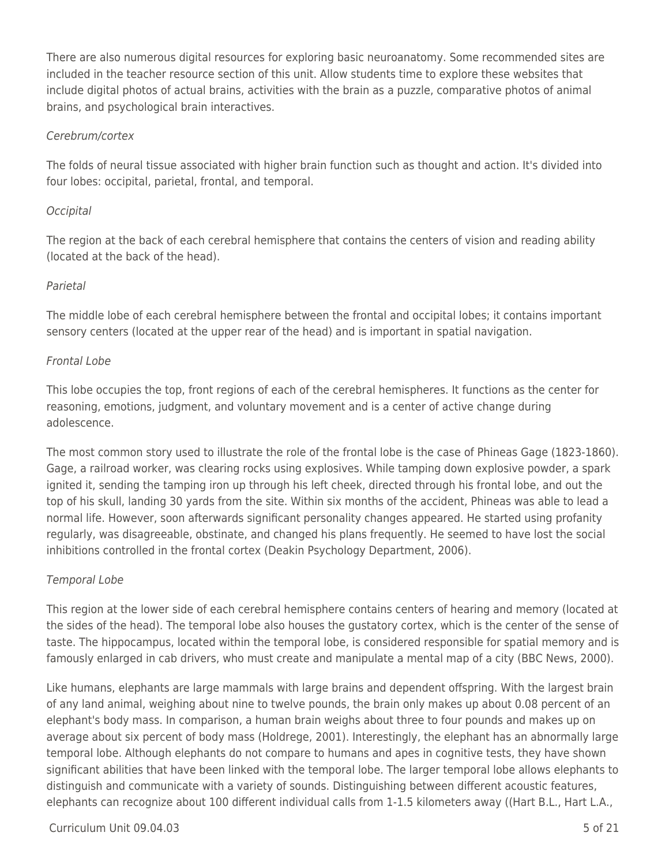There are also numerous digital resources for exploring basic neuroanatomy. Some recommended sites are included in the teacher resource section of this unit. Allow students time to explore these websites that include digital photos of actual brains, activities with the brain as a puzzle, comparative photos of animal brains, and psychological brain interactives.

## Cerebrum/cortex

The folds of neural tissue associated with higher brain function such as thought and action. It's divided into four lobes: occipital, parietal, frontal, and temporal.

## **Occipital**

The region at the back of each cerebral hemisphere that contains the centers of vision and reading ability (located at the back of the head).

#### Parietal

The middle lobe of each cerebral hemisphere between the frontal and occipital lobes; it contains important sensory centers (located at the upper rear of the head) and is important in spatial navigation.

#### Frontal Lobe

This lobe occupies the top, front regions of each of the cerebral hemispheres. It functions as the center for reasoning, emotions, judgment, and voluntary movement and is a center of active change during adolescence.

The most common story used to illustrate the role of the frontal lobe is the case of Phineas Gage (1823-1860). Gage, a railroad worker, was clearing rocks using explosives. While tamping down explosive powder, a spark ignited it, sending the tamping iron up through his left cheek, directed through his frontal lobe, and out the top of his skull, landing 30 yards from the site. Within six months of the accident, Phineas was able to lead a normal life. However, soon afterwards significant personality changes appeared. He started using profanity regularly, was disagreeable, obstinate, and changed his plans frequently. He seemed to have lost the social inhibitions controlled in the frontal cortex (Deakin Psychology Department, 2006).

#### Temporal Lobe

This region at the lower side of each cerebral hemisphere contains centers of hearing and memory (located at the sides of the head). The temporal lobe also houses the gustatory cortex, which is the center of the sense of taste. The hippocampus, located within the temporal lobe, is considered responsible for spatial memory and is famously enlarged in cab drivers, who must create and manipulate a mental map of a city (BBC News, 2000).

Like humans, elephants are large mammals with large brains and dependent offspring. With the largest brain of any land animal, weighing about nine to twelve pounds, the brain only makes up about 0.08 percent of an elephant's body mass. In comparison, a human brain weighs about three to four pounds and makes up on average about six percent of body mass (Holdrege, 2001). Interestingly, the elephant has an abnormally large temporal lobe. Although elephants do not compare to humans and apes in cognitive tests, they have shown significant abilities that have been linked with the temporal lobe. The larger temporal lobe allows elephants to distinguish and communicate with a variety of sounds. Distinguishing between different acoustic features, elephants can recognize about 100 different individual calls from 1-1.5 kilometers away ((Hart B.L., Hart L.A.,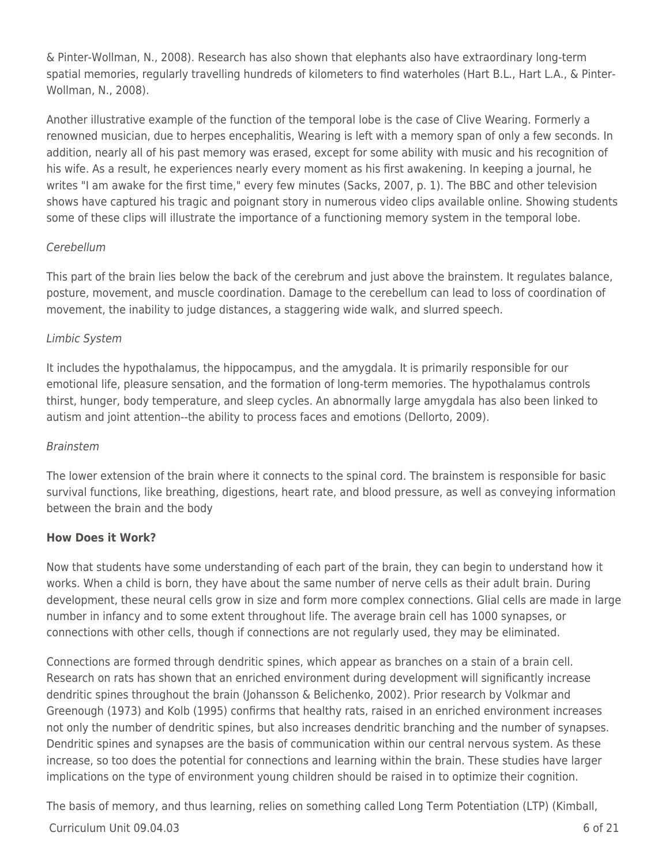& Pinter-Wollman, N., 2008). Research has also shown that elephants also have extraordinary long-term spatial memories, regularly travelling hundreds of kilometers to find waterholes (Hart B.L., Hart L.A., & Pinter-Wollman, N., 2008).

Another illustrative example of the function of the temporal lobe is the case of Clive Wearing. Formerly a renowned musician, due to herpes encephalitis, Wearing is left with a memory span of only a few seconds. In addition, nearly all of his past memory was erased, except for some ability with music and his recognition of his wife. As a result, he experiences nearly every moment as his first awakening. In keeping a journal, he writes "I am awake for the first time," every few minutes (Sacks, 2007, p. 1). The BBC and other television shows have captured his tragic and poignant story in numerous video clips available online. Showing students some of these clips will illustrate the importance of a functioning memory system in the temporal lobe.

## Cerebellum

This part of the brain lies below the back of the cerebrum and just above the brainstem. It regulates balance, posture, movement, and muscle coordination. Damage to the cerebellum can lead to loss of coordination of movement, the inability to judge distances, a staggering wide walk, and slurred speech.

## Limbic System

It includes the hypothalamus, the hippocampus, and the amygdala. It is primarily responsible for our emotional life, pleasure sensation, and the formation of long-term memories. The hypothalamus controls thirst, hunger, body temperature, and sleep cycles. An abnormally large amygdala has also been linked to autism and joint attention--the ability to process faces and emotions (Dellorto, 2009).

## Brainstem

The lower extension of the brain where it connects to the spinal cord. The brainstem is responsible for basic survival functions, like breathing, digestions, heart rate, and blood pressure, as well as conveying information between the brain and the body

## **How Does it Work?**

Now that students have some understanding of each part of the brain, they can begin to understand how it works. When a child is born, they have about the same number of nerve cells as their adult brain. During development, these neural cells grow in size and form more complex connections. Glial cells are made in large number in infancy and to some extent throughout life. The average brain cell has 1000 synapses, or connections with other cells, though if connections are not regularly used, they may be eliminated.

Connections are formed through dendritic spines, which appear as branches on a stain of a brain cell. Research on rats has shown that an enriched environment during development will significantly increase dendritic spines throughout the brain (Johansson & Belichenko, 2002). Prior research by Volkmar and Greenough (1973) and Kolb (1995) confirms that healthy rats, raised in an enriched environment increases not only the number of dendritic spines, but also increases dendritic branching and the number of synapses. Dendritic spines and synapses are the basis of communication within our central nervous system. As these increase, so too does the potential for connections and learning within the brain. These studies have larger implications on the type of environment young children should be raised in to optimize their cognition.

 $Curir$  Unit 09.04.03 6 of 21 The basis of memory, and thus learning, relies on something called Long Term Potentiation (LTP) (Kimball,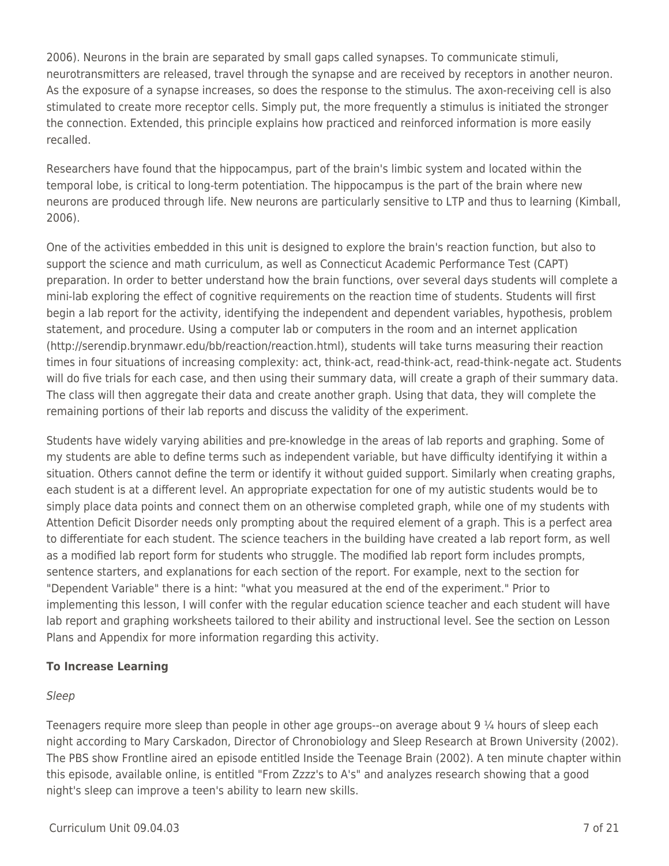2006). Neurons in the brain are separated by small gaps called synapses. To communicate stimuli, neurotransmitters are released, travel through the synapse and are received by receptors in another neuron. As the exposure of a synapse increases, so does the response to the stimulus. The axon-receiving cell is also stimulated to create more receptor cells. Simply put, the more frequently a stimulus is initiated the stronger the connection. Extended, this principle explains how practiced and reinforced information is more easily recalled.

Researchers have found that the hippocampus, part of the brain's limbic system and located within the temporal lobe, is critical to long-term potentiation. The hippocampus is the part of the brain where new neurons are produced through life. New neurons are particularly sensitive to LTP and thus to learning (Kimball, 2006).

One of the activities embedded in this unit is designed to explore the brain's reaction function, but also to support the science and math curriculum, as well as Connecticut Academic Performance Test (CAPT) preparation. In order to better understand how the brain functions, over several days students will complete a mini-lab exploring the effect of cognitive requirements on the reaction time of students. Students will first begin a lab report for the activity, identifying the independent and dependent variables, hypothesis, problem statement, and procedure. Using a computer lab or computers in the room and an internet application (http://serendip.brynmawr.edu/bb/reaction/reaction.html), students will take turns measuring their reaction times in four situations of increasing complexity: act, think-act, read-think-act, read-think-negate act. Students will do five trials for each case, and then using their summary data, will create a graph of their summary data. The class will then aggregate their data and create another graph. Using that data, they will complete the remaining portions of their lab reports and discuss the validity of the experiment.

Students have widely varying abilities and pre-knowledge in the areas of lab reports and graphing. Some of my students are able to define terms such as independent variable, but have difficulty identifying it within a situation. Others cannot define the term or identify it without guided support. Similarly when creating graphs, each student is at a different level. An appropriate expectation for one of my autistic students would be to simply place data points and connect them on an otherwise completed graph, while one of my students with Attention Deficit Disorder needs only prompting about the required element of a graph. This is a perfect area to differentiate for each student. The science teachers in the building have created a lab report form, as well as a modified lab report form for students who struggle. The modified lab report form includes prompts, sentence starters, and explanations for each section of the report. For example, next to the section for "Dependent Variable" there is a hint: "what you measured at the end of the experiment." Prior to implementing this lesson, I will confer with the regular education science teacher and each student will have lab report and graphing worksheets tailored to their ability and instructional level. See the section on Lesson Plans and Appendix for more information regarding this activity.

## **To Increase Learning**

## Sleep

Teenagers require more sleep than people in other age groups--on average about 9 ¼ hours of sleep each night according to Mary Carskadon, Director of Chronobiology and Sleep Research at Brown University (2002). The PBS show Frontline aired an episode entitled Inside the Teenage Brain (2002). A ten minute chapter within this episode, available online, is entitled "From Zzzz's to A's" and analyzes research showing that a good night's sleep can improve a teen's ability to learn new skills.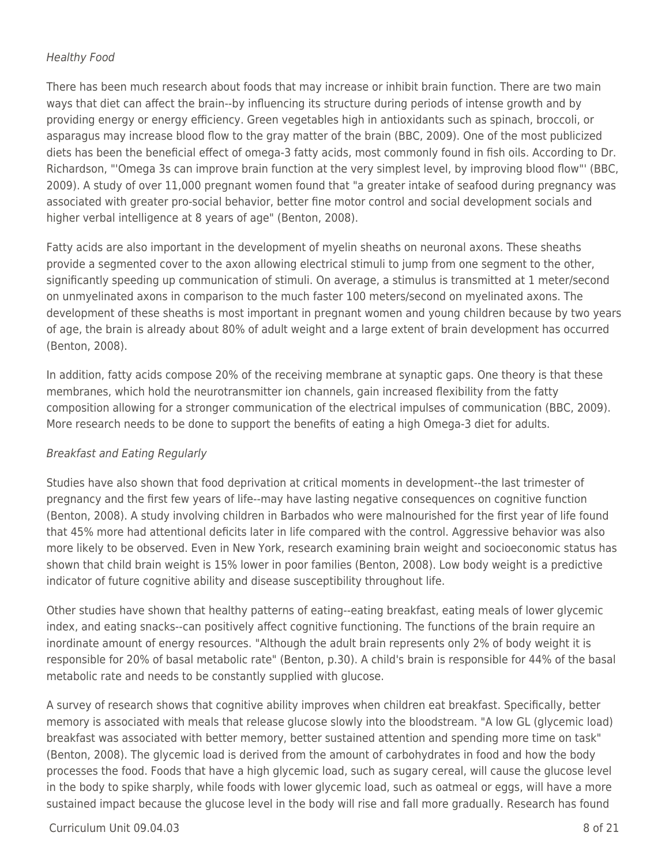## Healthy Food

There has been much research about foods that may increase or inhibit brain function. There are two main ways that diet can affect the brain--by influencing its structure during periods of intense growth and by providing energy or energy efficiency. Green vegetables high in antioxidants such as spinach, broccoli, or asparagus may increase blood flow to the gray matter of the brain (BBC, 2009). One of the most publicized diets has been the beneficial effect of omega-3 fatty acids, most commonly found in fish oils. According to Dr. Richardson, "'Omega 3s can improve brain function at the very simplest level, by improving blood flow"' (BBC, 2009). A study of over 11,000 pregnant women found that "a greater intake of seafood during pregnancy was associated with greater pro-social behavior, better fine motor control and social development socials and higher verbal intelligence at 8 years of age" (Benton, 2008).

Fatty acids are also important in the development of myelin sheaths on neuronal axons. These sheaths provide a segmented cover to the axon allowing electrical stimuli to jump from one segment to the other, significantly speeding up communication of stimuli. On average, a stimulus is transmitted at 1 meter/second on unmyelinated axons in comparison to the much faster 100 meters/second on myelinated axons. The development of these sheaths is most important in pregnant women and young children because by two years of age, the brain is already about 80% of adult weight and a large extent of brain development has occurred (Benton, 2008).

In addition, fatty acids compose 20% of the receiving membrane at synaptic gaps. One theory is that these membranes, which hold the neurotransmitter ion channels, gain increased flexibility from the fatty composition allowing for a stronger communication of the electrical impulses of communication (BBC, 2009). More research needs to be done to support the benefits of eating a high Omega-3 diet for adults.

## Breakfast and Eating Regularly

Studies have also shown that food deprivation at critical moments in development--the last trimester of pregnancy and the first few years of life--may have lasting negative consequences on cognitive function (Benton, 2008). A study involving children in Barbados who were malnourished for the first year of life found that 45% more had attentional deficits later in life compared with the control. Aggressive behavior was also more likely to be observed. Even in New York, research examining brain weight and socioeconomic status has shown that child brain weight is 15% lower in poor families (Benton, 2008). Low body weight is a predictive indicator of future cognitive ability and disease susceptibility throughout life.

Other studies have shown that healthy patterns of eating--eating breakfast, eating meals of lower glycemic index, and eating snacks--can positively affect cognitive functioning. The functions of the brain require an inordinate amount of energy resources. "Although the adult brain represents only 2% of body weight it is responsible for 20% of basal metabolic rate" (Benton, p.30). A child's brain is responsible for 44% of the basal metabolic rate and needs to be constantly supplied with glucose.

A survey of research shows that cognitive ability improves when children eat breakfast. Specifically, better memory is associated with meals that release glucose slowly into the bloodstream. "A low GL (glycemic load) breakfast was associated with better memory, better sustained attention and spending more time on task" (Benton, 2008). The glycemic load is derived from the amount of carbohydrates in food and how the body processes the food. Foods that have a high glycemic load, such as sugary cereal, will cause the glucose level in the body to spike sharply, while foods with lower glycemic load, such as oatmeal or eggs, will have a more sustained impact because the glucose level in the body will rise and fall more gradually. Research has found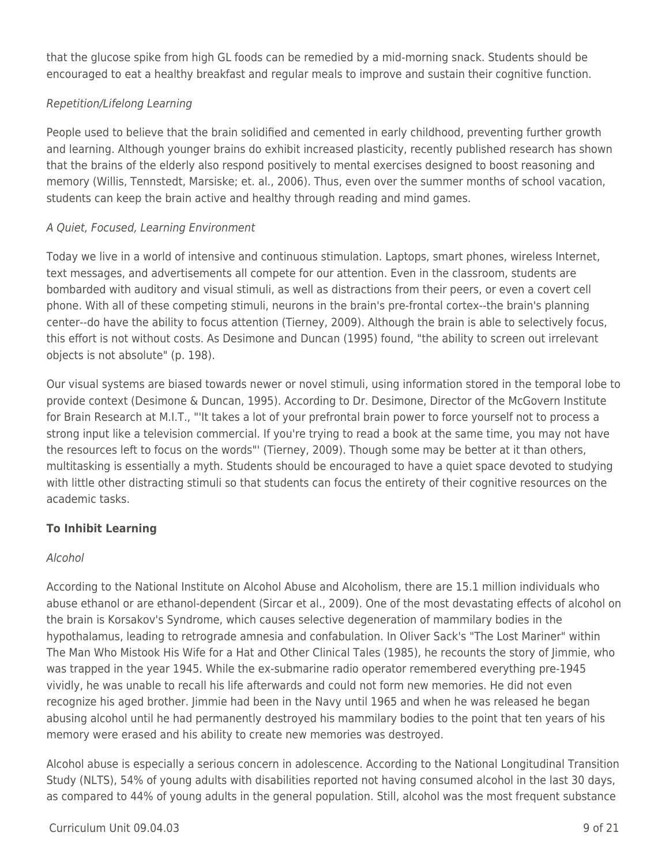that the glucose spike from high GL foods can be remedied by a mid-morning snack. Students should be encouraged to eat a healthy breakfast and regular meals to improve and sustain their cognitive function.

# Repetition/Lifelong Learning

People used to believe that the brain solidified and cemented in early childhood, preventing further growth and learning. Although younger brains do exhibit increased plasticity, recently published research has shown that the brains of the elderly also respond positively to mental exercises designed to boost reasoning and memory (Willis, Tennstedt, Marsiske; et. al., 2006). Thus, even over the summer months of school vacation, students can keep the brain active and healthy through reading and mind games.

# A Quiet, Focused, Learning Environment

Today we live in a world of intensive and continuous stimulation. Laptops, smart phones, wireless Internet, text messages, and advertisements all compete for our attention. Even in the classroom, students are bombarded with auditory and visual stimuli, as well as distractions from their peers, or even a covert cell phone. With all of these competing stimuli, neurons in the brain's pre-frontal cortex--the brain's planning center--do have the ability to focus attention (Tierney, 2009). Although the brain is able to selectively focus, this effort is not without costs. As Desimone and Duncan (1995) found, "the ability to screen out irrelevant objects is not absolute" (p. 198).

Our visual systems are biased towards newer or novel stimuli, using information stored in the temporal lobe to provide context (Desimone & Duncan, 1995). According to Dr. Desimone, Director of the McGovern Institute for Brain Research at M.I.T., "'It takes a lot of your prefrontal brain power to force yourself not to process a strong input like a television commercial. If you're trying to read a book at the same time, you may not have the resources left to focus on the words"' (Tierney, 2009). Though some may be better at it than others, multitasking is essentially a myth. Students should be encouraged to have a quiet space devoted to studying with little other distracting stimuli so that students can focus the entirety of their cognitive resources on the academic tasks.

# **To Inhibit Learning**

## Alcohol

According to the National Institute on Alcohol Abuse and Alcoholism, there are 15.1 million individuals who abuse ethanol or are ethanol-dependent (Sircar et al., 2009). One of the most devastating effects of alcohol on the brain is Korsakov's Syndrome, which causes selective degeneration of mammilary bodies in the hypothalamus, leading to retrograde amnesia and confabulation. In Oliver Sack's "The Lost Mariner" within The Man Who Mistook His Wife for a Hat and Other Clinical Tales (1985), he recounts the story of Jimmie, who was trapped in the year 1945. While the ex-submarine radio operator remembered everything pre-1945 vividly, he was unable to recall his life afterwards and could not form new memories. He did not even recognize his aged brother. Jimmie had been in the Navy until 1965 and when he was released he began abusing alcohol until he had permanently destroyed his mammilary bodies to the point that ten years of his memory were erased and his ability to create new memories was destroyed.

Alcohol abuse is especially a serious concern in adolescence. According to the National Longitudinal Transition Study (NLTS), 54% of young adults with disabilities reported not having consumed alcohol in the last 30 days, as compared to 44% of young adults in the general population. Still, alcohol was the most frequent substance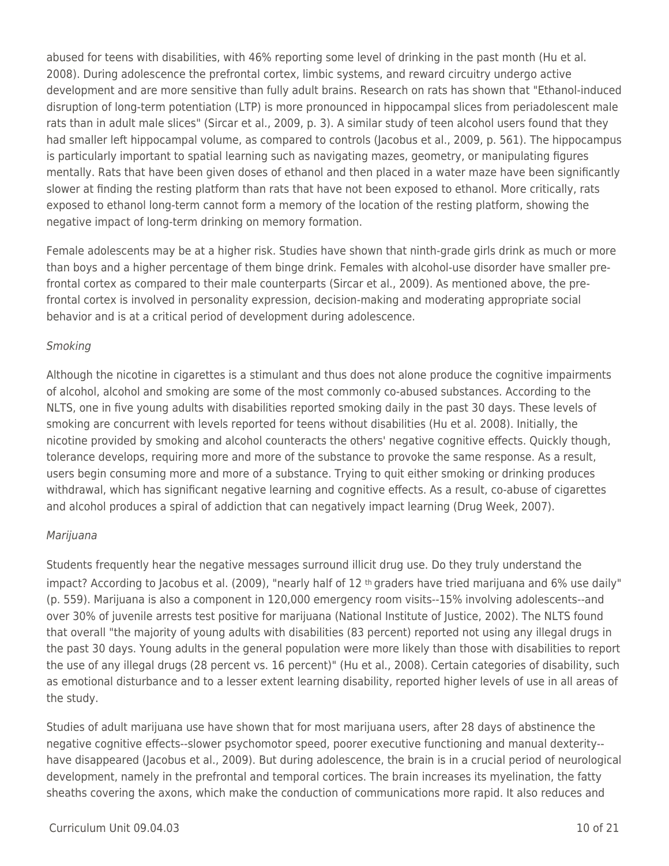abused for teens with disabilities, with 46% reporting some level of drinking in the past month (Hu et al. 2008). During adolescence the prefrontal cortex, limbic systems, and reward circuitry undergo active development and are more sensitive than fully adult brains. Research on rats has shown that "Ethanol-induced disruption of long-term potentiation (LTP) is more pronounced in hippocampal slices from periadolescent male rats than in adult male slices" (Sircar et al., 2009, p. 3). A similar study of teen alcohol users found that they had smaller left hippocampal volume, as compared to controls (Jacobus et al., 2009, p. 561). The hippocampus is particularly important to spatial learning such as navigating mazes, geometry, or manipulating figures mentally. Rats that have been given doses of ethanol and then placed in a water maze have been significantly slower at finding the resting platform than rats that have not been exposed to ethanol. More critically, rats exposed to ethanol long-term cannot form a memory of the location of the resting platform, showing the negative impact of long-term drinking on memory formation.

Female adolescents may be at a higher risk. Studies have shown that ninth-grade girls drink as much or more than boys and a higher percentage of them binge drink. Females with alcohol-use disorder have smaller prefrontal cortex as compared to their male counterparts (Sircar et al., 2009). As mentioned above, the prefrontal cortex is involved in personality expression, decision-making and moderating appropriate social behavior and is at a critical period of development during adolescence.

## **Smoking**

Although the nicotine in cigarettes is a stimulant and thus does not alone produce the cognitive impairments of alcohol, alcohol and smoking are some of the most commonly co-abused substances. According to the NLTS, one in five young adults with disabilities reported smoking daily in the past 30 days. These levels of smoking are concurrent with levels reported for teens without disabilities (Hu et al. 2008). Initially, the nicotine provided by smoking and alcohol counteracts the others' negative cognitive effects. Quickly though, tolerance develops, requiring more and more of the substance to provoke the same response. As a result, users begin consuming more and more of a substance. Trying to quit either smoking or drinking produces withdrawal, which has significant negative learning and cognitive effects. As a result, co-abuse of cigarettes and alcohol produces a spiral of addiction that can negatively impact learning (Drug Week, 2007).

## Marijuana

Students frequently hear the negative messages surround illicit drug use. Do they truly understand the impact? According to Jacobus et al. (2009), "nearly half of 12 th graders have tried marijuana and 6% use daily" (p. 559). Marijuana is also a component in 120,000 emergency room visits--15% involving adolescents--and over 30% of juvenile arrests test positive for marijuana (National Institute of Justice, 2002). The NLTS found that overall "the majority of young adults with disabilities (83 percent) reported not using any illegal drugs in the past 30 days. Young adults in the general population were more likely than those with disabilities to report the use of any illegal drugs (28 percent vs. 16 percent)" (Hu et al., 2008). Certain categories of disability, such as emotional disturbance and to a lesser extent learning disability, reported higher levels of use in all areas of the study.

Studies of adult marijuana use have shown that for most marijuana users, after 28 days of abstinence the negative cognitive effects--slower psychomotor speed, poorer executive functioning and manual dexterity- have disappeared (Jacobus et al., 2009). But during adolescence, the brain is in a crucial period of neurological development, namely in the prefrontal and temporal cortices. The brain increases its myelination, the fatty sheaths covering the axons, which make the conduction of communications more rapid. It also reduces and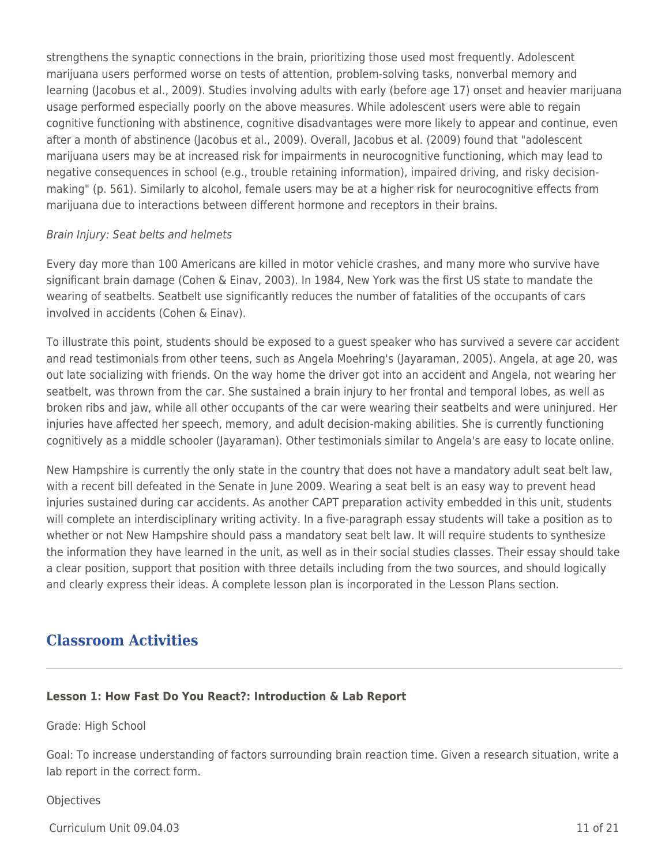strengthens the synaptic connections in the brain, prioritizing those used most frequently. Adolescent marijuana users performed worse on tests of attention, problem-solving tasks, nonverbal memory and learning (Jacobus et al., 2009). Studies involving adults with early (before age 17) onset and heavier marijuana usage performed especially poorly on the above measures. While adolescent users were able to regain cognitive functioning with abstinence, cognitive disadvantages were more likely to appear and continue, even after a month of abstinence (Jacobus et al., 2009). Overall, Jacobus et al. (2009) found that "adolescent marijuana users may be at increased risk for impairments in neurocognitive functioning, which may lead to negative consequences in school (e.g., trouble retaining information), impaired driving, and risky decisionmaking" (p. 561). Similarly to alcohol, female users may be at a higher risk for neurocognitive effects from marijuana due to interactions between different hormone and receptors in their brains.

#### Brain Injury: Seat belts and helmets

Every day more than 100 Americans are killed in motor vehicle crashes, and many more who survive have significant brain damage (Cohen & Einav, 2003). In 1984, New York was the first US state to mandate the wearing of seatbelts. Seatbelt use significantly reduces the number of fatalities of the occupants of cars involved in accidents (Cohen & Einav).

To illustrate this point, students should be exposed to a guest speaker who has survived a severe car accident and read testimonials from other teens, such as Angela Moehring's (Jayaraman, 2005). Angela, at age 20, was out late socializing with friends. On the way home the driver got into an accident and Angela, not wearing her seatbelt, was thrown from the car. She sustained a brain injury to her frontal and temporal lobes, as well as broken ribs and jaw, while all other occupants of the car were wearing their seatbelts and were uninjured. Her injuries have affected her speech, memory, and adult decision-making abilities. She is currently functioning cognitively as a middle schooler (Jayaraman). Other testimonials similar to Angela's are easy to locate online.

New Hampshire is currently the only state in the country that does not have a mandatory adult seat belt law, with a recent bill defeated in the Senate in June 2009. Wearing a seat belt is an easy way to prevent head injuries sustained during car accidents. As another CAPT preparation activity embedded in this unit, students will complete an interdisciplinary writing activity. In a five-paragraph essay students will take a position as to whether or not New Hampshire should pass a mandatory seat belt law. It will require students to synthesize the information they have learned in the unit, as well as in their social studies classes. Their essay should take a clear position, support that position with three details including from the two sources, and should logically and clearly express their ideas. A complete lesson plan is incorporated in the Lesson Plans section.

# **Classroom Activities**

# **Lesson 1: How Fast Do You React?: Introduction & Lab Report**

Grade: High School

Goal: To increase understanding of factors surrounding brain reaction time. Given a research situation, write a lab report in the correct form.

# **Objectives**

Curriculum Unit 09.04.03 11 of 21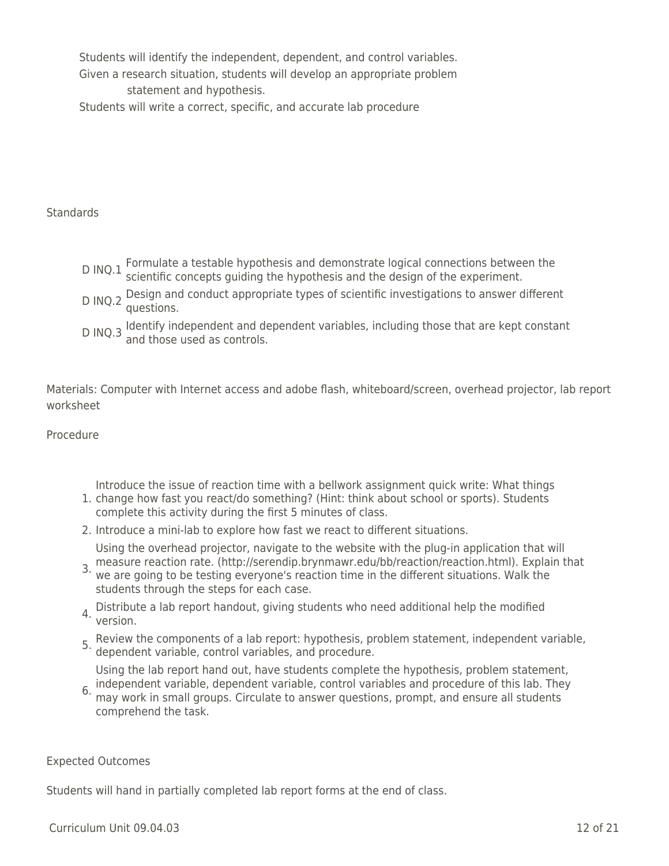Students will identify the independent, dependent, and control variables. Given a research situation, students will develop an appropriate problem statement and hypothesis. Students will write a correct, specific, and accurate lab procedure

**Standards** 

- D INQ.1 Formulate a testable hypothesis and demonstrate logical connections between the DINQ.1 Scientific concepts guiding the hypothesis and the design of the experiment.
- D INQ.2 Design and conduct appropriate types of scientific investigations to answer different questions.
- D INQ.3 ldentify independent and dependent variables, including those that are kept constant<br>D INQ.3 and those used as controls.

Materials: Computer with Internet access and adobe flash, whiteboard/screen, overhead projector, lab report worksheet

Procedure

Introduce the issue of reaction time with a bellwork assignment quick write: What things

- 1. change how fast you react/do something? (Hint: think about school or sports). Students complete this activity during the first 5 minutes of class.
- 2. Introduce a mini-lab to explore how fast we react to different situations.

Using the overhead projector, navigate to the website with the plug-in application that will

- 3. measure reaction rate. (http://serendip.brynmawr.edu/bb/reaction/reaction.html). Explain that<br>3. we are going to be testing evenyonals reaction time in the different situations. Walk the we are going to be testing everyone's reaction time in the different situations. Walk the students through the steps for each case.
- 4. Distribute a lab report handout, giving students who need additional help the modified version.
- 5. Review the components of a lab report: hypothesis, problem statement, independent variable, dependent variable, control variables, and procedure.

Using the lab report hand out, have students complete the hypothesis, problem statement,

6. independent variable, dependent variable, control variables and procedure of this lab. They may work in small groups. Circulate to answer questions, prompt, and ensure all students comprehend the task.

Expected Outcomes

Students will hand in partially completed lab report forms at the end of class.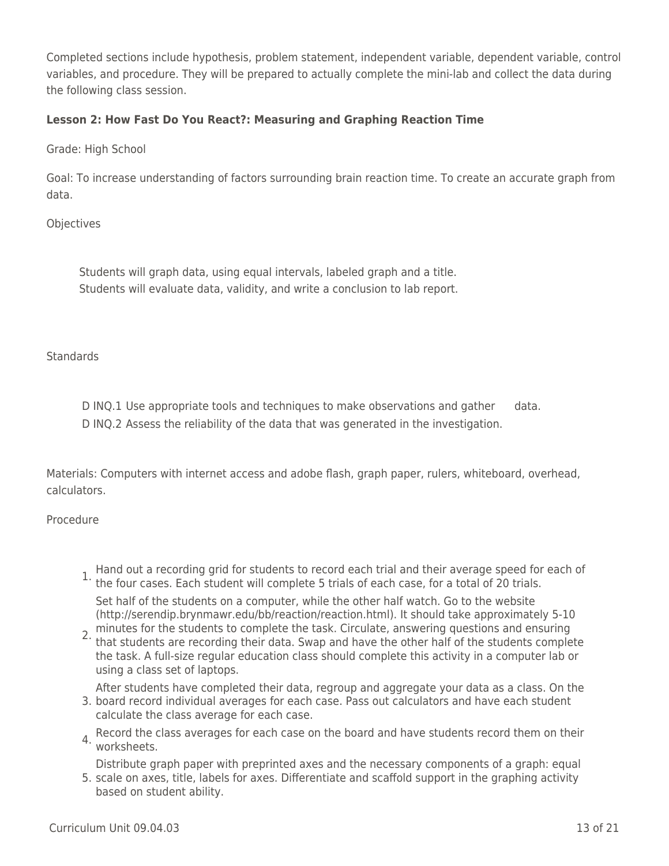Completed sections include hypothesis, problem statement, independent variable, dependent variable, control variables, and procedure. They will be prepared to actually complete the mini-lab and collect the data during the following class session.

## **Lesson 2: How Fast Do You React?: Measuring and Graphing Reaction Time**

Grade: High School

Goal: To increase understanding of factors surrounding brain reaction time. To create an accurate graph from data.

**Objectives** 

Students will graph data, using equal intervals, labeled graph and a title. Students will evaluate data, validity, and write a conclusion to lab report.

**Standards** 

D INQ.1 Use appropriate tools and techniques to make observations and gather data. D INQ.2 Assess the reliability of the data that was generated in the investigation.

Materials: Computers with internet access and adobe flash, graph paper, rulers, whiteboard, overhead, calculators.

Procedure

1. Hand out a recording grid for students to record each trial and their average speed for each of 1.<br><sup>1.</sup> the four cases. Each student will complete 5 trials of each case, for a total of 20 trials.

Set half of the students on a computer, while the other half watch. Go to the website (http://serendip.brynmawr.edu/bb/reaction/reaction.html). It should take approximately 5-10 minutes for the students to complete the task. Circulate, answering questions and ensuring

2. That students are recording their data. Swap and have the other half of the students complete the task. A full-size regular education class should complete this activity in a computer lab or using a class set of laptops.

3. board record individual averages for each case. Pass out calculators and have each student After students have completed their data, regroup and aggregate your data as a class. On the calculate the class average for each case.

4. Record the class averages for each case on the board and have students record them on their worksheets.

5. scale on axes, title, labels for axes. Differentiate and scaffold support in the graphing activity Distribute graph paper with preprinted axes and the necessary components of a graph: equal

based on student ability.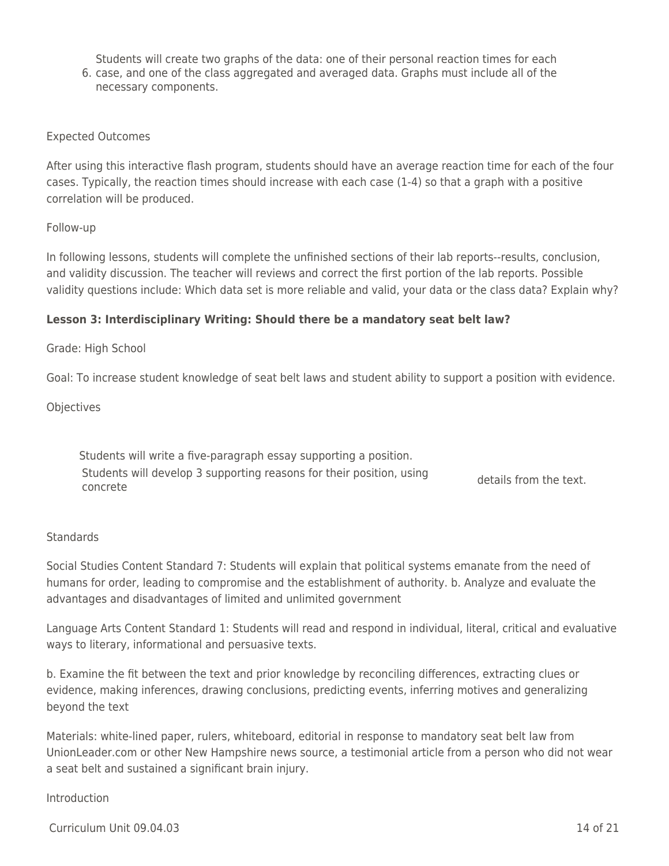6. case, and one of the class aggregated and averaged data. Graphs must include all of the Students will create two graphs of the data: one of their personal reaction times for each necessary components.

#### Expected Outcomes

After using this interactive flash program, students should have an average reaction time for each of the four cases. Typically, the reaction times should increase with each case (1-4) so that a graph with a positive correlation will be produced.

#### Follow-up

In following lessons, students will complete the unfinished sections of their lab reports--results, conclusion, and validity discussion. The teacher will reviews and correct the first portion of the lab reports. Possible validity questions include: Which data set is more reliable and valid, your data or the class data? Explain why?

#### **Lesson 3: Interdisciplinary Writing: Should there be a mandatory seat belt law?**

#### Grade: High School

Goal: To increase student knowledge of seat belt laws and student ability to support a position with evidence.

**Objectives** 

Students will write a five-paragraph essay supporting a position. Students will develop 3 supporting reasons for their position, using details from the text.<br>concrete

#### **Standards**

Social Studies Content Standard 7: Students will explain that political systems emanate from the need of humans for order, leading to compromise and the establishment of authority. b. Analyze and evaluate the advantages and disadvantages of limited and unlimited government

Language Arts Content Standard 1: Students will read and respond in individual, literal, critical and evaluative ways to literary, informational and persuasive texts.

b. Examine the fit between the text and prior knowledge by reconciling differences, extracting clues or evidence, making inferences, drawing conclusions, predicting events, inferring motives and generalizing beyond the text

Materials: white-lined paper, rulers, whiteboard, editorial in response to mandatory seat belt law from UnionLeader.com or other New Hampshire news source, a testimonial article from a person who did not wear a seat belt and sustained a significant brain injury.

#### Introduction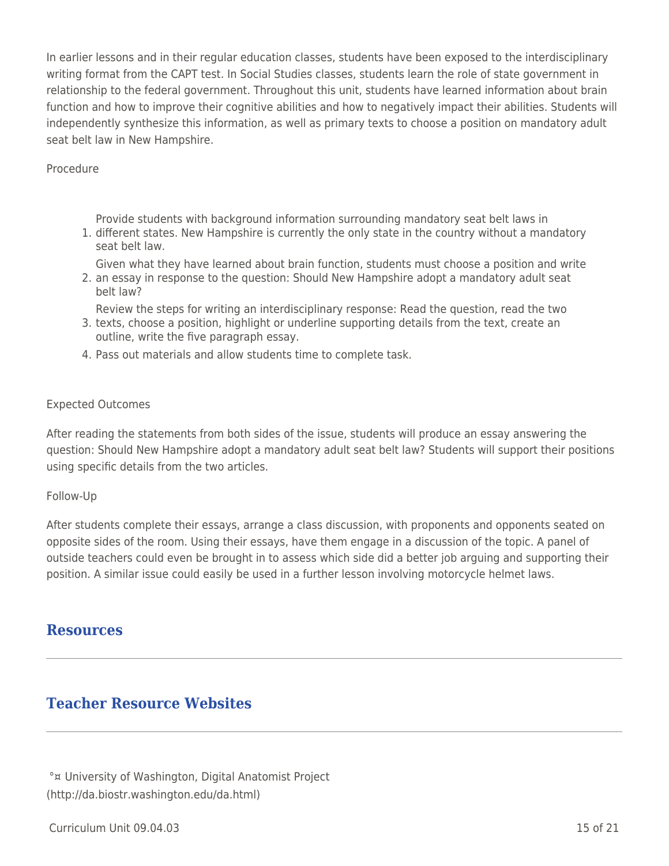In earlier lessons and in their regular education classes, students have been exposed to the interdisciplinary writing format from the CAPT test. In Social Studies classes, students learn the role of state government in relationship to the federal government. Throughout this unit, students have learned information about brain function and how to improve their cognitive abilities and how to negatively impact their abilities. Students will independently synthesize this information, as well as primary texts to choose a position on mandatory adult seat belt law in New Hampshire.

#### Procedure

Provide students with background information surrounding mandatory seat belt laws in

1. different states. New Hampshire is currently the only state in the country without a mandatory seat belt law.

Given what they have learned about brain function, students must choose a position and write

2. an essay in response to the question: Should New Hampshire adopt a mandatory adult seat belt law?

3. texts, choose a position, highlight or underline supporting details from the text, create an Review the steps for writing an interdisciplinary response: Read the question, read the two outline, write the five paragraph essay.

4. Pass out materials and allow students time to complete task.

#### Expected Outcomes

After reading the statements from both sides of the issue, students will produce an essay answering the question: Should New Hampshire adopt a mandatory adult seat belt law? Students will support their positions using specific details from the two articles.

#### Follow-Up

After students complete their essays, arrange a class discussion, with proponents and opponents seated on opposite sides of the room. Using their essays, have them engage in a discussion of the topic. A panel of outside teachers could even be brought in to assess which side did a better job arguing and supporting their position. A similar issue could easily be used in a further lesson involving motorcycle helmet laws.

# **Resources**

# **Teacher Resource Websites**

°¤ University of Washington, Digital Anatomist Project (http://da.biostr.washington.edu/da.html)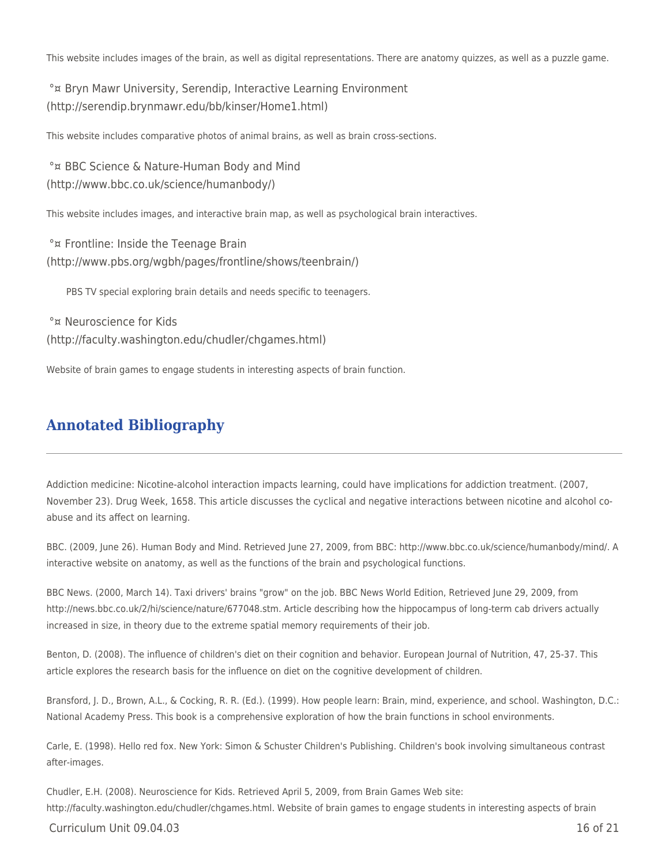This website includes images of the brain, as well as digital representations. There are anatomy quizzes, as well as a puzzle game.

°¤ Bryn Mawr University, Serendip, Interactive Learning Environment (http://serendip.brynmawr.edu/bb/kinser/Home1.html)

This website includes comparative photos of animal brains, as well as brain cross-sections.

°¤ BBC Science & Nature-Human Body and Mind (http://www.bbc.co.uk/science/humanbody/)

This website includes images, and interactive brain map, as well as psychological brain interactives.

°¤ Frontline: Inside the Teenage Brain (http://www.pbs.org/wgbh/pages/frontline/shows/teenbrain/)

PBS TV special exploring brain details and needs specific to teenagers.

°¤ Neuroscience for Kids (http://faculty.washington.edu/chudler/chgames.html)

Website of brain games to engage students in interesting aspects of brain function.

# **Annotated Bibliography**

Addiction medicine: Nicotine-alcohol interaction impacts learning, could have implications for addiction treatment. (2007, November 23). Drug Week, 1658. This article discusses the cyclical and negative interactions between nicotine and alcohol coabuse and its affect on learning.

BBC. (2009, June 26). Human Body and Mind. Retrieved June 27, 2009, from BBC: http://www.bbc.co.uk/science/humanbody/mind/. A interactive website on anatomy, as well as the functions of the brain and psychological functions.

BBC News. (2000, March 14). Taxi drivers' brains "grow" on the job. BBC News World Edition, Retrieved June 29, 2009, from http://news.bbc.co.uk/2/hi/science/nature/677048.stm. Article describing how the hippocampus of long-term cab drivers actually increased in size, in theory due to the extreme spatial memory requirements of their job.

Benton, D. (2008). The influence of children's diet on their cognition and behavior. European Journal of Nutrition, 47, 25-37. This article explores the research basis for the influence on diet on the cognitive development of children.

Bransford, J. D., Brown, A.L., & Cocking, R. R. (Ed.). (1999). How people learn: Brain, mind, experience, and school. Washington, D.C.: National Academy Press. This book is a comprehensive exploration of how the brain functions in school environments.

Carle, E. (1998). Hello red fox. New York: Simon & Schuster Children's Publishing. Children's book involving simultaneous contrast after-images.

Chudler, E.H. (2008). Neuroscience for Kids. Retrieved April 5, 2009, from Brain Games Web site: http://faculty.washington.edu/chudler/chgames.html. Website of brain games to engage students in interesting aspects of brain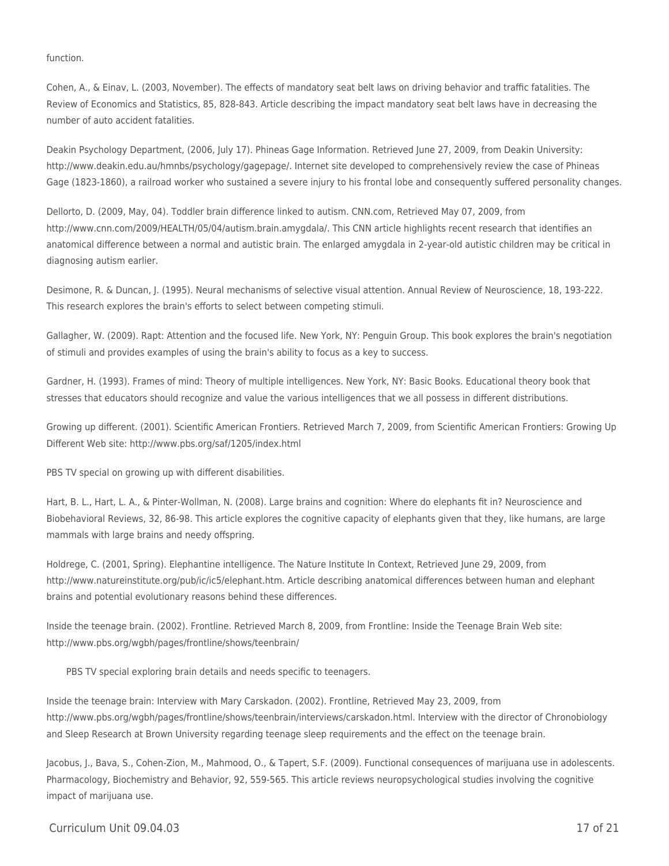#### function.

Cohen, A., & Einav, L. (2003, November). The effects of mandatory seat belt laws on driving behavior and traffic fatalities. The Review of Economics and Statistics, 85, 828-843. Article describing the impact mandatory seat belt laws have in decreasing the number of auto accident fatalities.

Deakin Psychology Department, (2006, July 17). Phineas Gage Information. Retrieved June 27, 2009, from Deakin University: http://www.deakin.edu.au/hmnbs/psychology/gagepage/. Internet site developed to comprehensively review the case of Phineas Gage (1823-1860), a railroad worker who sustained a severe injury to his frontal lobe and consequently suffered personality changes.

Dellorto, D. (2009, May, 04). Toddler brain difference linked to autism. CNN.com, Retrieved May 07, 2009, from http://www.cnn.com/2009/HEALTH/05/04/autism.brain.amygdala/. This CNN article highlights recent research that identifies an anatomical difference between a normal and autistic brain. The enlarged amygdala in 2-year-old autistic children may be critical in diagnosing autism earlier.

Desimone, R. & Duncan, J. (1995). Neural mechanisms of selective visual attention. Annual Review of Neuroscience, 18, 193-222. This research explores the brain's efforts to select between competing stimuli.

Gallagher, W. (2009). Rapt: Attention and the focused life. New York, NY: Penguin Group. This book explores the brain's negotiation of stimuli and provides examples of using the brain's ability to focus as a key to success.

Gardner, H. (1993). Frames of mind: Theory of multiple intelligences. New York, NY: Basic Books. Educational theory book that stresses that educators should recognize and value the various intelligences that we all possess in different distributions.

Growing up different. (2001). Scientific American Frontiers. Retrieved March 7, 2009, from Scientific American Frontiers: Growing Up Different Web site: http://www.pbs.org/saf/1205/index.html

PBS TV special on growing up with different disabilities.

Hart, B. L., Hart, L. A., & Pinter-Wollman, N. (2008). Large brains and cognition: Where do elephants fit in? Neuroscience and Biobehavioral Reviews, 32, 86-98. This article explores the cognitive capacity of elephants given that they, like humans, are large mammals with large brains and needy offspring.

Holdrege, C. (2001, Spring). Elephantine intelligence. The Nature Institute In Context, Retrieved June 29, 2009, from http://www.natureinstitute.org/pub/ic/ic5/elephant.htm. Article describing anatomical differences between human and elephant brains and potential evolutionary reasons behind these differences.

Inside the teenage brain. (2002). Frontline. Retrieved March 8, 2009, from Frontline: Inside the Teenage Brain Web site: http://www.pbs.org/wgbh/pages/frontline/shows/teenbrain/

PBS TV special exploring brain details and needs specific to teenagers.

Inside the teenage brain: Interview with Mary Carskadon. (2002). Frontline, Retrieved May 23, 2009, from http://www.pbs.org/wgbh/pages/frontline/shows/teenbrain/interviews/carskadon.html. Interview with the director of Chronobiology and Sleep Research at Brown University regarding teenage sleep requirements and the effect on the teenage brain.

Jacobus, J., Bava, S., Cohen-Zion, M., Mahmood, O., & Tapert, S.F. (2009). Functional consequences of marijuana use in adolescents. Pharmacology, Biochemistry and Behavior, 92, 559-565. This article reviews neuropsychological studies involving the cognitive impact of marijuana use.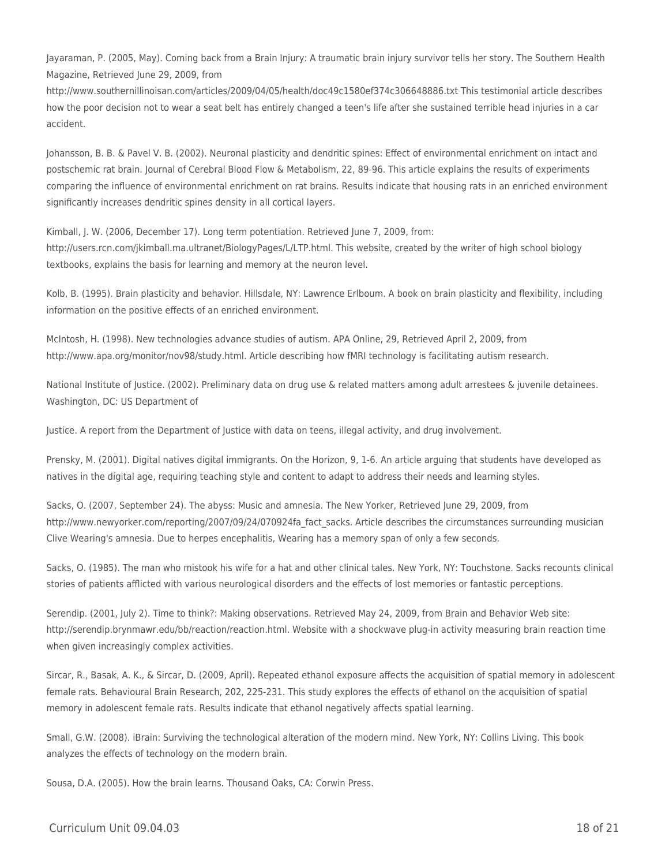Jayaraman, P. (2005, May). Coming back from a Brain Injury: A traumatic brain injury survivor tells her story. The Southern Health Magazine, Retrieved June 29, 2009, from

http://www.southernillinoisan.com/articles/2009/04/05/health/doc49c1580ef374c306648886.txt This testimonial article describes how the poor decision not to wear a seat belt has entirely changed a teen's life after she sustained terrible head injuries in a car accident.

Johansson, B. B. & Pavel V. B. (2002). Neuronal plasticity and dendritic spines: Effect of environmental enrichment on intact and postschemic rat brain. Journal of Cerebral Blood Flow & Metabolism, 22, 89-96. This article explains the results of experiments comparing the influence of environmental enrichment on rat brains. Results indicate that housing rats in an enriched environment significantly increases dendritic spines density in all cortical layers.

Kimball, J. W. (2006, December 17). Long term potentiation. Retrieved June 7, 2009, from: http://users.rcn.com/jkimball.ma.ultranet/BiologyPages/L/LTP.html. This website, created by the writer of high school biology textbooks, explains the basis for learning and memory at the neuron level.

Kolb, B. (1995). Brain plasticity and behavior. Hillsdale, NY: Lawrence Erlboum. A book on brain plasticity and flexibility, including information on the positive effects of an enriched environment.

McIntosh, H. (1998). New technologies advance studies of autism. APA Online, 29, Retrieved April 2, 2009, from http://www.apa.org/monitor/nov98/study.html. Article describing how fMRI technology is facilitating autism research.

National Institute of Justice. (2002). Preliminary data on drug use & related matters among adult arrestees & juvenile detainees. Washington, DC: US Department of

Justice. A report from the Department of Justice with data on teens, illegal activity, and drug involvement.

Prensky, M. (2001). Digital natives digital immigrants. On the Horizon, 9, 1-6. An article arguing that students have developed as natives in the digital age, requiring teaching style and content to adapt to address their needs and learning styles.

Sacks, O. (2007, September 24). The abyss: Music and amnesia. The New Yorker, Retrieved June 29, 2009, from http://www.newyorker.com/reporting/2007/09/24/070924fa\_fact\_sacks. Article describes the circumstances surrounding musician Clive Wearing's amnesia. Due to herpes encephalitis, Wearing has a memory span of only a few seconds.

Sacks, O. (1985). The man who mistook his wife for a hat and other clinical tales. New York, NY: Touchstone. Sacks recounts clinical stories of patients afflicted with various neurological disorders and the effects of lost memories or fantastic perceptions.

Serendip. (2001, July 2). Time to think?: Making observations. Retrieved May 24, 2009, from Brain and Behavior Web site: http://serendip.brynmawr.edu/bb/reaction/reaction.html. Website with a shockwave plug-in activity measuring brain reaction time when given increasingly complex activities.

Sircar, R., Basak, A. K., & Sircar, D. (2009, April). Repeated ethanol exposure affects the acquisition of spatial memory in adolescent female rats. Behavioural Brain Research, 202, 225-231. This study explores the effects of ethanol on the acquisition of spatial memory in adolescent female rats. Results indicate that ethanol negatively affects spatial learning.

Small, G.W. (2008). iBrain: Surviving the technological alteration of the modern mind. New York, NY: Collins Living. This book analyzes the effects of technology on the modern brain.

Sousa, D.A. (2005). How the brain learns. Thousand Oaks, CA: Corwin Press.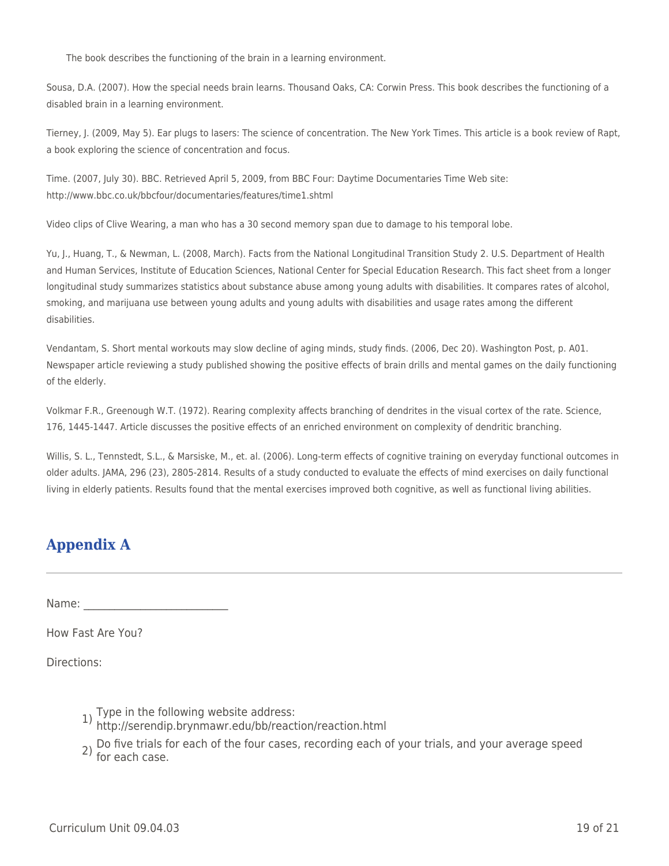The book describes the functioning of the brain in a learning environment.

Sousa, D.A. (2007). How the special needs brain learns. Thousand Oaks, CA: Corwin Press. This book describes the functioning of a disabled brain in a learning environment.

Tierney, J. (2009, May 5). Ear plugs to lasers: The science of concentration. The New York Times. This article is a book review of Rapt, a book exploring the science of concentration and focus.

Time. (2007, July 30). BBC. Retrieved April 5, 2009, from BBC Four: Daytime Documentaries Time Web site: http://www.bbc.co.uk/bbcfour/documentaries/features/time1.shtml

Video clips of Clive Wearing, a man who has a 30 second memory span due to damage to his temporal lobe.

Yu, J., Huang, T., & Newman, L. (2008, March). Facts from the National Longitudinal Transition Study 2. U.S. Department of Health and Human Services, Institute of Education Sciences, National Center for Special Education Research. This fact sheet from a longer longitudinal study summarizes statistics about substance abuse among young adults with disabilities. It compares rates of alcohol, smoking, and marijuana use between young adults and young adults with disabilities and usage rates among the different disabilities.

Vendantam, S. Short mental workouts may slow decline of aging minds, study finds. (2006, Dec 20). Washington Post, p. A01. Newspaper article reviewing a study published showing the positive effects of brain drills and mental games on the daily functioning of the elderly.

Volkmar F.R., Greenough W.T. (1972). Rearing complexity affects branching of dendrites in the visual cortex of the rate. Science, 176, 1445-1447. Article discusses the positive effects of an enriched environment on complexity of dendritic branching.

Willis, S. L., Tennstedt, S.L., & Marsiske, M., et. al. (2006). Long-term effects of cognitive training on everyday functional outcomes in older adults. JAMA, 296 (23), 2805-2814. Results of a study conducted to evaluate the effects of mind exercises on daily functional living in elderly patients. Results found that the mental exercises improved both cognitive, as well as functional living abilities.

# **Appendix A**

Name:

How Fast Are You?

Directions:

- 
- 1) Type in the following website address: http://serendip.brynmawr.edu/bb/reaction/reaction.html
- 2) Do five trials for each of the four cases, recording each of your trials, and your average speed for each case.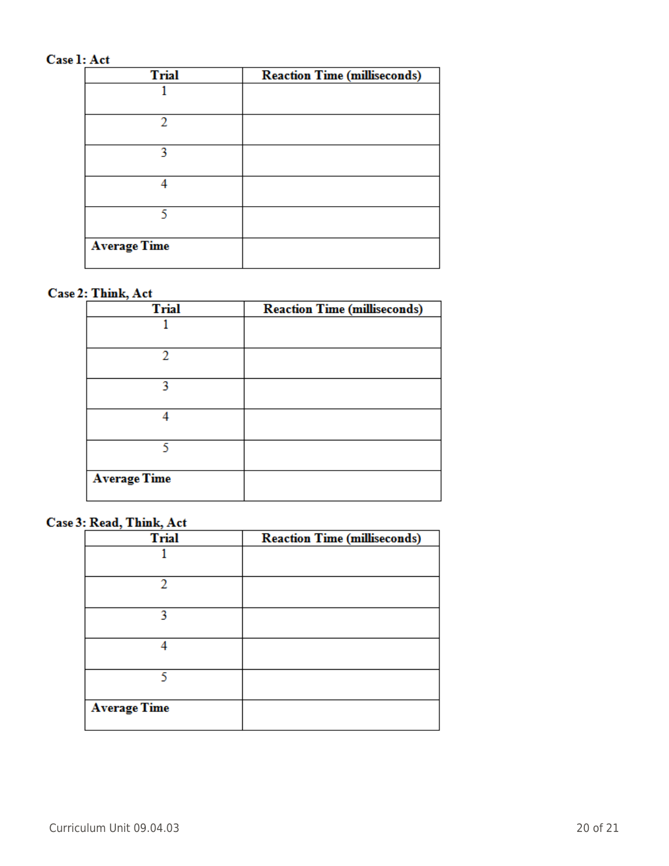## Case 1: Act

| <b>Trial</b>        | <b>Reaction Time (milliseconds)</b> |
|---------------------|-------------------------------------|
|                     |                                     |
| າ                   |                                     |
| 2                   |                                     |
|                     |                                     |
|                     |                                     |
| <b>Average Time</b> |                                     |

## Case 2: Think, Act

| <b>Trial</b>        | <b>Reaction Time (milliseconds)</b> |
|---------------------|-------------------------------------|
|                     |                                     |
| 2                   |                                     |
| 2                   |                                     |
|                     |                                     |
|                     |                                     |
| <b>Average Time</b> |                                     |

#### Case 3: Read, Think, Act

| <b>Trial</b>        | <b>Reaction Time (milliseconds)</b> |
|---------------------|-------------------------------------|
|                     |                                     |
| 2                   |                                     |
| 2                   |                                     |
|                     |                                     |
| ς                   |                                     |
| <b>Average Time</b> |                                     |